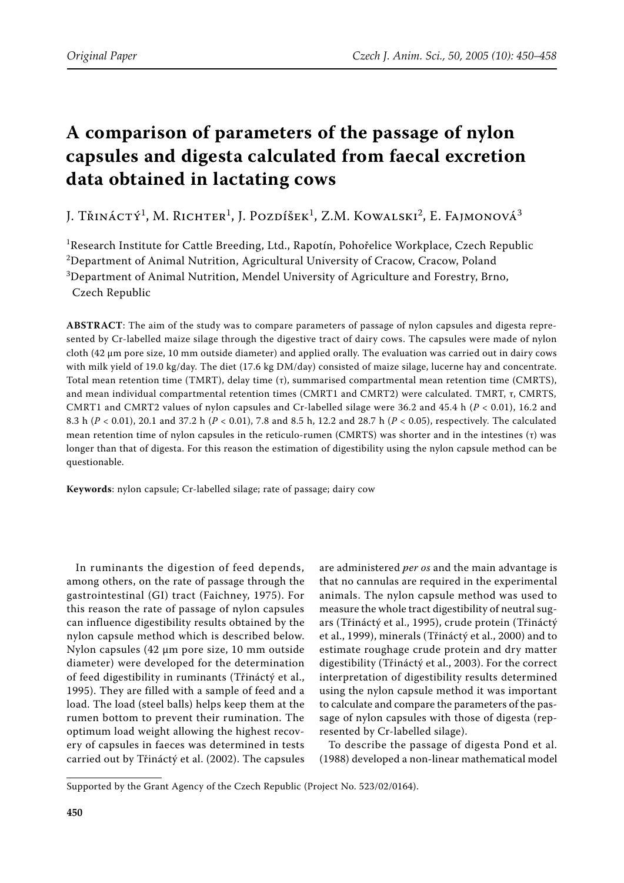# **A comparison of parameters of the passage of nylon capsules and digesta calculated from faecal excretion data obtained in lactating cows**

J. Třináctý<sup>1</sup>, M. Richter<sup>1</sup>, J. Pozdíšek<sup>1</sup>, Z.M. Kowalski<sup>2</sup>, E. Fajmonová<sup>3</sup>

<sup>1</sup>Research Institute for Cattle Breeding, Ltd., Rapotín, Pohořelice Workplace, Czech Republic  $^{2}$ Department of Animal Nutrition, Agricultural University of Cracow, Cracow, Poland  $^3$ Department of Animal Nutrition, Mendel University of Agriculture and Forestry, Brno,

Czech Republic

**ABSTRACT**: The aim of the study was to compare parameters of passage of nylon capsules and digesta represented by Cr-labelled maize silage through the digestive tract of dairy cows. The capsules were made of nylon cloth (42 µm pore size, 10 mm outside diameter) and applied orally. The evaluation was carried out in dairy cows with milk yield of 19.0 kg/day. The diet (17.6 kg DM/day) consisted of maize silage, lucerne hay and concentrate. Total mean retention time (TMRT), delay time (τ), summarised compartmental mean retention time (CMRTS), and mean individual compartmental retention times (CMRT1 and CMRT2) were calculated. TMRT, τ, CMRTS, CMRT1 and CMRT2 values of nylon capsules and Cr-labelled silage were 36.2 and 45.4 h (*P* < 0.01), 16.2 and 8.3 h (*P* < 0.01), 20.1 and 37.2 h (*P* < 0.01), 7.8 and 8.5 h, 12.2 and 28.7 h (*P* < 0.05), respectively. The calculated mean retention time of nylon capsules in the reticulo-rumen (CMRTS) was shorter and in the intestines (τ) was longer than that of digesta. For this reason the estimation of digestibility using the nylon capsule method can be questionable.

**Keywords**: nylon capsule; Cr-labelled silage; rate of passage; dairy cow

In ruminants the digestion of feed depends, among others, on the rate of passage through the gastrointestinal (GI) tract (Faichney, 1975). For this reason the rate of passage of nylon capsules can influence digestibility results obtained by the nylon capsule method which is described below. Nylon capsules (42 µm pore size, 10 mm outside diameter) were developed for the determination of feed digestibility in ruminants (Třináctý et al., 1995). They are filled with a sample of feed and a load. The load (steel balls) helps keep them at the rumen bottom to prevent their rumination. The optimum load weight allowing the highest recovery of capsules in faeces was determined in tests carried out by Třináctý et al. (2002). The capsules

are administered *per os* and the main advantage is that no cannulas are required in the experimental animals. The nylon capsule method was used to measure the whole tract digestibility of neutral sugars (Třináctý et al., 1995), crude protein (Třináctý et al., 1999), minerals (Třináctý et al., 2000) and to estimate roughage crude protein and dry matter digestibility (Třináctý et al., 2003). For the correct interpretation of digestibility results determined using the nylon capsule method it was important to calculate and compare the parameters of the passage of nylon capsules with those of digesta (represented by Cr-labelled silage).

To describe the passage of digesta Pond et al. (1988) developed a non-linear mathematical model

Supported by the Grant Agency of the Czech Republic (Project No. 523/02/0164).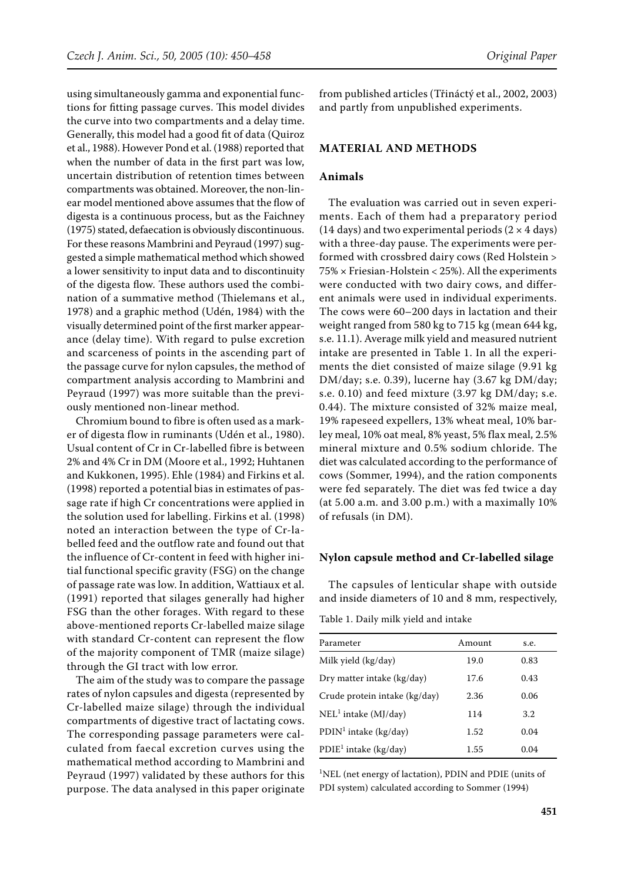using simultaneously gamma and exponential functions for fitting passage curves. This model divides the curve into two compartments and a delay time. Generally, this model had a good fit of data (Quiroz et al., 1988). However Pond et al. (1988) reported that when the number of data in the first part was low, uncertain distribution of retention times between compartments was obtained. Moreover, the non-linear model mentioned above assumes that the flow of digesta is a continuous process, but as the Faichney (1975) stated, defaecation is obviously discontinuous. For these reasons Mambrini and Peyraud (1997) suggested a simple mathematical method which showed a lower sensitivity to input data and to discontinuity of the digesta flow. These authors used the combination of a summative method (Thielemans et al., 1978) and a graphic method (Udén, 1984) with the visually determined point of the first marker appearance (delay time). With regard to pulse excretion and scarceness of points in the ascending part of the passage curve for nylon capsules, the method of compartment analysis according to Mambrini and Peyraud (1997) was more suitable than the previously mentioned non-linear method.

Chromium bound to fibre is often used as a marker of digesta flow in ruminants (Udén et al., 1980). Usual content of Cr in Cr-labelled fibre is between 2% and 4% Cr in DM (Moore et al., 1992; Huhtanen and Kukkonen, 1995). Ehle (1984) and Firkins et al. (1998) reported a potential bias in estimates of passage rate if high Cr concentrations were applied in the solution used for labelling. Firkins et al. (1998) noted an interaction between the type of Cr-labelled feed and the outflow rate and found out that the influence of Cr-content in feed with higher initial functional specific gravity (FSG) on the change of passage rate was low. In addition, Wattiaux et al. (1991) reported that silages generally had higher FSG than the other forages. With regard to these above-mentioned reports Cr-labelled maize silage with standard Cr-content can represent the flow of the majority component of TMR (maize silage) through the GI tract with low error.

The aim of the study was to compare the passage rates of nylon capsules and digesta (represented by Cr-labelled maize silage) through the individual compartments of digestive tract of lactating cows. The corresponding passage parameters were calculated from faecal excretion curves using the mathematical method according to Mambrini and Peyraud (1997) validated by these authors for this purpose. The data analysed in this paper originate from published articles (Třináctý et al., 2002, 2003) and partly from unpublished experiments.

#### **MATERIAL AND METHODS**

## **Animals**

The evaluation was carried out in seven experiments. Each of them had a preparatory period (14 days) and two experimental periods (2  $\times$  4 days) with a three-day pause. The experiments were performed with crossbred dairy cows (Red Holstein > 75% × Friesian-Holstein < 25%). All the experiments were conducted with two dairy cows, and different animals were used in individual experiments. The cows were 60–200 days in lactation and their weight ranged from 580 kg to 715 kg (mean 644 kg, s.e. 11.1). Average milk yield and measured nutrient intake are presented in Table 1. In all the experiments the diet consisted of maize silage (9.91 kg DM/day; s.e. 0.39), lucerne hay (3.67 kg DM/day; s.e. 0.10) and feed mixture (3.97 kg DM/day; s.e. 0.44). The mixture consisted of 32% maize meal, 19% rapeseed expellers, 13% wheat meal, 10% barley meal, 10% oat meal, 8% yeast, 5% flax meal, 2.5% mineral mixture and 0.5% sodium chloride. The diet was calculated according to the performance of cows (Sommer, 1994), and the ration components were fed separately. The diet was fed twice a day (at 5.00 a.m. and 3.00 p.m.) with a maximally 10% of refusals (in DM).

#### **Nylon capsule method and Cr-labelled silage**

The capsules of lenticular shape with outside and inside diameters of 10 and 8 mm, respectively,

Table 1. Daily milk yield and intake

| Parameter                         | Amount | s.e.    |
|-----------------------------------|--------|---------|
| Milk yield (kg/day)               | 19.0   | 0.83    |
| Dry matter intake (kg/day)        | 17.6   | 0.43    |
| Crude protein intake (kg/day)     | 2.36   | 0.06    |
| $NEL1$ intake (MJ/day)            | 114    | $3.2\,$ |
| $PDIN1$ intake (kg/day)           | 1.52   | 0.04    |
| PDIE <sup>1</sup> intake (kg/day) | 1.55   | 0.04    |

1 NEL (net energy of lactation), PDIN and PDIE (units of PDI system) calculated according to Sommer (1994)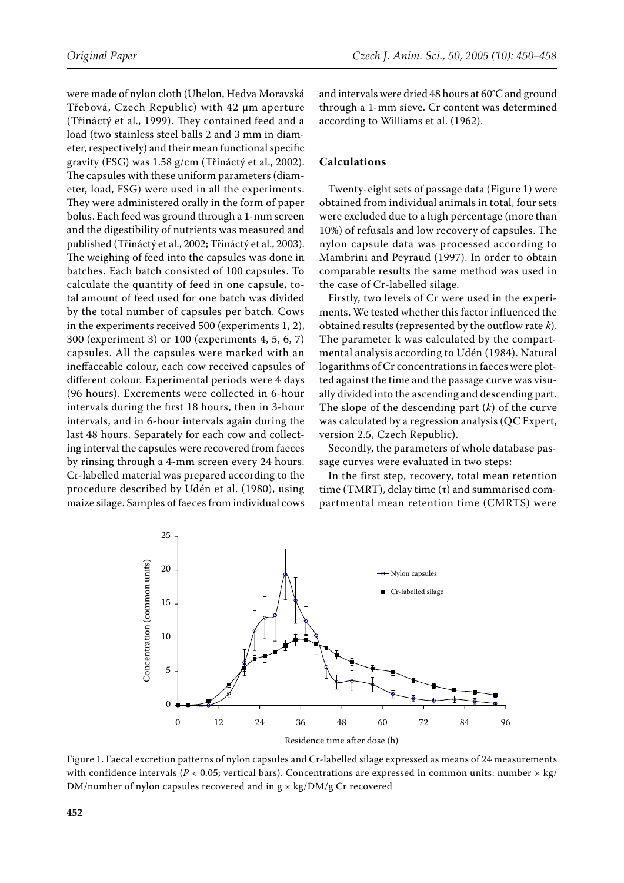were made of nylon cloth (Uhelon, Hedva Moravská Třebová, Czech Republic) with 42 µm aperture (Třináctý et al., 1999). They contained feed and a load (two stainless steel balls 2 and 3 mm in diameter, respectively) and their mean functional specific gravity (FSG) was 1.58 g/cm (Třináctý et al., 2002). The capsules with these uniform parameters (diameter, load, FSG) were used in all the experiments. They were administered orally in the form of paper bolus. Each feed was ground through a 1-mm screen and the digestibility of nutrients was measured and published (Třináctý et al., 2002; Třináctý et al., 2003). The weighing of feed into the capsules was done in batches. Each batch consisted of 100 capsules. To calculate the quantity of feed in one capsule, total amount of feed used for one batch was divided by the total number of capsules per batch. Cows in the experiments received 500 (experiments 1, 2), 300 (experiment 3) or 100 (experiments 4, 5, 6, 7) capsules. All the capsules were marked with an ineffaceable colour, each cow received capsules of different colour. Experimental periods were 4 days (96 hours). Excrements were collected in 6-hour intervals during the first 18 hours, then in 3-hour intervals, and in 6-hour intervals again during the last 48 hours. Separately for each cow and collecting interval the capsules were recovered from faeces by rinsing through a 4-mm screen every 24 hours. Cr-labelled material was prepared according to the procedure described by Udén et al. (1980), using maize silage. Samples of faeces from individual cows and intervals were dried 48 hours at 60°C and ground through a 1-mm sieve. Cr content was determined according to Williams et al. (1962).

#### **Calculations**

Twenty-eight sets of passage data (Figure 1) were obtained from individual animals in total, four sets were excluded due to a high percentage (more than 10%) of refusals and low recovery of capsules. The nylon capsule data was processed according to Mambrini and Peyraud (1997). In order to obtain comparable results the same method was used in the case of Cr-labelled silage.

Firstly, two levels of Cr were used in the experiments. We tested whether this factor influenced the obtained results (represented by the outflow rate *k*). The parameter k was calculated by the compartmental analysis according to Udén (1984). Natural logarithms of Cr concentrations in faeces were plotted against the time and the passage curve was visually divided into the ascending and descending part. The slope of the descending part (*k*) of the curve was calculated by a regression analysis (QC Expert, version 2.5, Czech Republic).

Secondly, the parameters of whole database passage curves were evaluated in two steps:

In the first step, recovery, total mean retention time (TMRT), delay time (τ) and summarised compartmental mean retention time (CMRTS) were



Figure 1. Faecal excretion patterns of nylon capsules and Cr-labelled silage expressed as means of 24 measurements with confidence intervals ( $P < 0.05$ ; vertical bars). Concentrations are expressed in common units: number  $\times$  kg/  $DM/number$  of nylon capsules recovered and in  $g \times kg/DM/g$  Cr recovered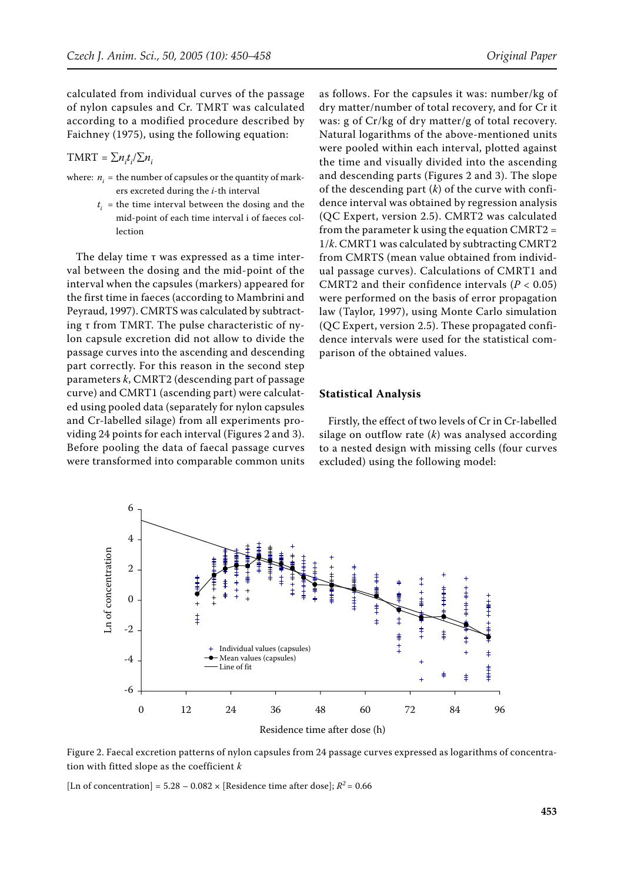calculated from individual curves of the passage of nylon capsules and Cr. TMRT was calculated according to a modified procedure described by Faichney (1975), using the following equation:

# $TMRT = \sum n_i t_i / \sum n_i$

- where:  $n_{i}$  = the number of capsules or the quantity of mark ers excreted during the *i*-th interval
	- $t_i$  = the time interval between the dosing and the mid-point of each time interval i of faeces col lection

The delay time τ was expressed as a time interval between the dosing and the mid-point of the interval when the capsules (markers) appeared for the first time in faeces (according to Mambrini and Peyraud, 1997). CMRTS was calculated by subtracting τ from TMRT. The pulse characteristic of nylon capsule excretion did not allow to divide the passage curves into the ascending and descending part correctly. For this reason in the second step parameters *k*, CMRT2 (descending part of passage curve) and CMRT1 (ascending part) were calculated using pooled data (separately for nylon capsules and Cr-labelled silage) from all experiments providing 24 points for each interval (Figures 2 and 3). Before pooling the data of faecal passage curves were transformed into comparable common units

as follows. For the capsules it was: number/kg of dry matter/number of total recovery, and for Cr it was: g of Cr/kg of dry matter/g of total recovery. Natural logarithms of the above-mentioned units were pooled within each interval, plotted against the time and visually divided into the ascending and descending parts (Figures 2 and 3). The slope of the descending part (*k*) of the curve with confidence interval was obtained by regression analysis (QC Expert, version 2.5). CMRT2 was calculated from the parameter k using the equation CMRT2 = 1/*k*. CMRT1 was calculated by subtracting CMRT2 from CMRTS (mean value obtained from individual passage curves). Calculations of CMRT1 and CMRT2 and their confidence intervals (*P* < 0.05) were performed on the basis of error propagation law (Taylor, 1997), using Monte Carlo simulation (QC Expert, version 2.5). These propagated confidence intervals were used for the statistical comparison of the obtained values.

#### **Statistical Analysis**

Firstly, the effect of two levels of Cr in Cr-labelled silage on outflow rate (*k*) was analysed according to a nested design with missing cells (four curves excluded) using the following model:



Figure 2. Faecal excretion patterns of nylon capsules from 24 passage curves expressed as logarithms of concentration with fitted slope as the coefficient *k*

[Ln of concentration] =  $5.28 - 0.082 \times$  [Residence time after dose];  $R^2 = 0.66$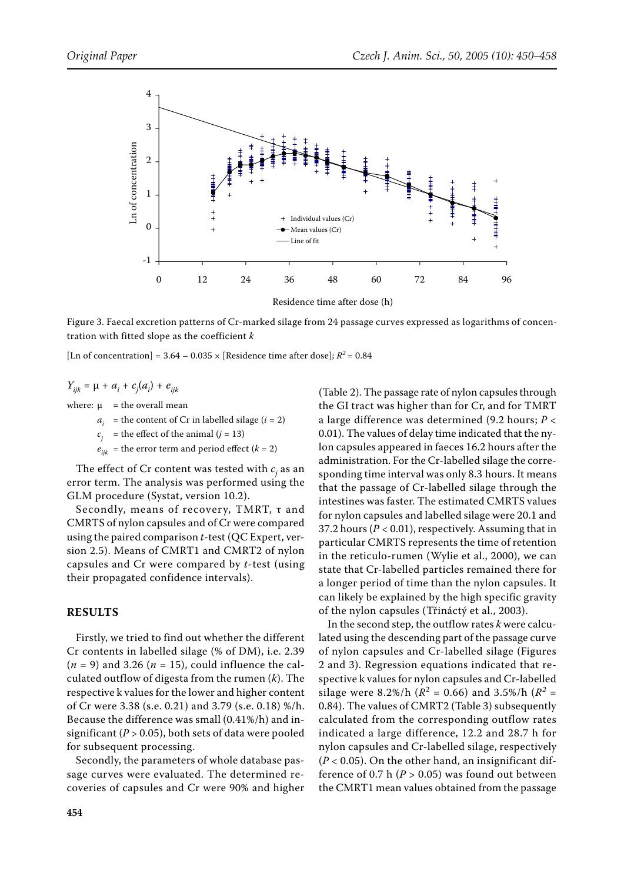

Figure 3. Faecal excretion patterns of Cr-marked silage from 24 passage curves expressed as logarithms of concentration with fitted slope as the coefficient *k* 

[Ln of concentration] =  $3.64 - 0.035 \times$  [Residence time after dose];  $R^2 = 0.84$ 

$$
Y_{ijk} = \mu + a_i + c_j(a_i) + e_{ijk}
$$

where:  $\mu$  = the overall mean

- $a_i$  = the content of Cr in labelled silage ( $i = 2$ )
- = the effect of the animal  $(j = 13)$
- $=$  the error term and period effect ( $k = 2$ )

The effect of  $Cr$  content was tested with  $c_j$  as an error term. The analysis was performed using the GLM procedure (Systat, version 10.2).

Secondly, means of recovery, TMRT, τ and CMRTS of nylon capsules and of Cr were compared using the paired comparison *t*-test (QC Expert, version 2.5). Means of CMRT1 and CMRT2 of nylon capsules and Cr were compared by *t*-test (using their propagated confidence intervals).

#### **RESULTS**

Firstly, we tried to find out whether the different Cr contents in labelled silage (% of DM), i.e. 2.39  $(n = 9)$  and 3.26  $(n = 15)$ , could influence the calculated outflow of digesta from the rumen (*k*). The respective k values for the lower and higher content of Cr were 3.38 (s.e. 0.21) and 3.79 (s.e. 0.18) %/h. Because the difference was small (0.41%/h) and insignificant  $(P > 0.05)$ , both sets of data were pooled for subsequent processing.

Secondly, the parameters of whole database passage curves were evaluated. The determined recoveries of capsules and Cr were 90% and higher (Table 2). The passage rate of nylon capsules through the GI tract was higher than for Cr, and for TMRT a large difference was determined (9.2 hours; *P* < 0.01). The values of delay time indicated that the nylon capsules appeared in faeces 16.2 hours after the administration. For the Cr-labelled silage the corresponding time interval was only 8.3 hours. It means that the passage of Cr-labelled silage through the intestines was faster. The estimated CMRTS values for nylon capsules and labelled silage were 20.1 and 37.2 hours ( $P < 0.01$ ), respectively. Assuming that in particular CMRTS represents the time of retention in the reticulo-rumen (Wylie et al., 2000), we can state that Cr-labelled particles remained there for a longer period of time than the nylon capsules. It can likely be explained by the high specific gravity of the nylon capsules (Třináctý et al., 2003).

In the second step, the outflow rates *k* were calculated using the descending part of the passage curve of nylon capsules and Cr-labelled silage (Figures 2 and 3). Regression equations indicated that respective k values for nylon capsules and Cr-labelled silage were 8.2%/h ( $R^2 = 0.66$ ) and 3.5%/h ( $R^2 =$ 0.84). The values of CMRT2 (Table 3) subsequently calculated from the corresponding outflow rates indicated a large difference, 12.2 and 28.7 h for nylon capsules and Cr-labelled silage, respectively  $(P < 0.05)$ . On the other hand, an insignificant difference of 0.7 h  $(P > 0.05)$  was found out between the CMRT1 mean values obtained from the passage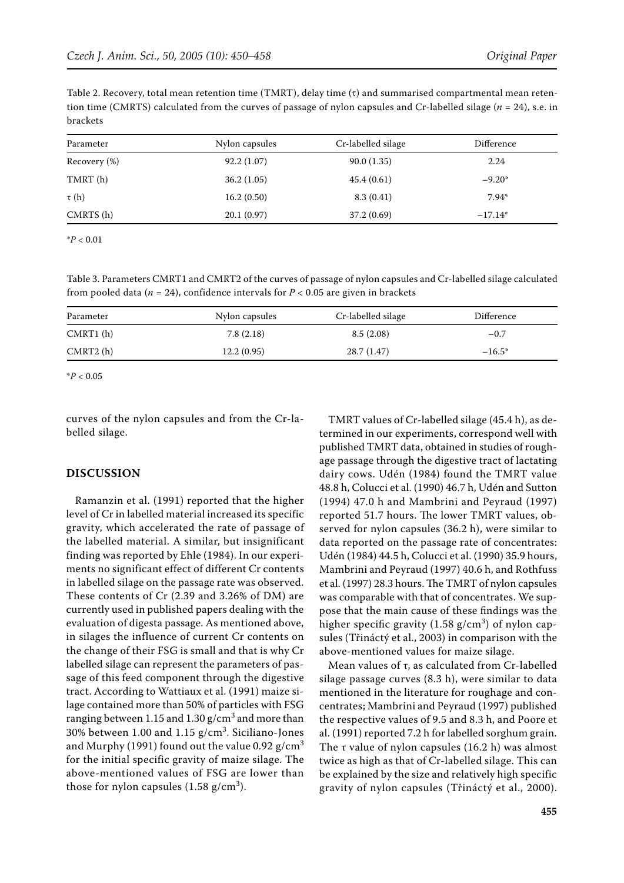Table 2. Recovery, total mean retention time (TMRT), delay time (τ) and summarised compartmental mean retention time (CMRTS) calculated from the curves of passage of nylon capsules and Cr-labelled silage (*n* = 24), s.e. in brackets

| Nylon capsules | Cr-labelled silage | Difference |
|----------------|--------------------|------------|
| 92.2(1.07)     | 90.0(1.35)         | 2.24       |
| 36.2(1.05)     | 45.4(0.61)         | $-9.20*$   |
| 16.2(0.50)     | 8.3(0.41)          | $7.94*$    |
| 20.1(0.97)     | 37.2 (0.69)        | $-17.14*$  |
|                |                    |            |

\**P* < 0.01

Table 3. Parameters CMRT1 and CMRT2 of the curves of passage of nylon capsules and Cr-labelled silage calculated from pooled data ( $n = 24$ ), confidence intervals for  $P < 0.05$  are given in brackets

| Parameter | Nylon capsules | Cr-labelled silage | Difference |
|-----------|----------------|--------------------|------------|
| CMRT1(h)  | 7.8(2.18)      | 8.5(2.08)          | $-0.7$     |
| CMRT2(h)  | 12.2(0.95)     | 28.7(1.47)         | $-16.5*$   |

\**P* < 0.05

curves of the nylon capsules and from the Cr-labelled silage.

#### **DISCUSSION**

Ramanzin et al. (1991) reported that the higher level of Cr in labelled material increased its specific gravity, which accelerated the rate of passage of the labelled material. A similar, but insignificant finding was reported by Ehle (1984). In our experiments no significant effect of different Cr contents in labelled silage on the passage rate was observed. These contents of Cr (2.39 and 3.26% of DM) are currently used in published papers dealing with the evaluation of digesta passage. As mentioned above, in silages the influence of current Cr contents on the change of their FSG is small and that is why Cr labelled silage can represent the parameters of passage of this feed component through the digestive tract. According to Wattiaux et al. (1991) maize silage contained more than 50% of particles with FSG ranging between  $1.15$  and  $1.30$  g/cm $^3$  and more than 30% between  $1.00$  and  $1.15$  g/cm $^3$ . Siciliano-Jones and Murphy (1991) found out the value 0.92  $g/cm<sup>3</sup>$ for the initial specific gravity of maize silage. The above-mentioned values of FSG are lower than those for nylon capsules (1.58 g/cm $^3$ ).

TMRT values of Cr-labelled silage (45.4 h), as determined in our experiments, correspond well with published TMRT data, obtained in studies of roughage passage through the digestive tract of lactating dairy cows. Udén (1984) found the TMRT value 48.8 h, Colucci et al. (1990) 46.7 h, Udén and Sutton (1994) 47.0 h and Mambrini and Peyraud (1997) reported 51.7 hours. The lower TMRT values, observed for nylon capsules (36.2 h), were similar to data reported on the passage rate of concentrates: Udén (1984) 44.5 h, Colucci et al. (1990) 35.9 hours, Mambrini and Peyraud (1997) 40.6 h, and Rothfuss et al. (1997) 28.3 hours. The TMRT of nylon capsules was comparable with that of concentrates. We suppose that the main cause of these findings was the higher specific gravity  $(1.58 \text{ g/cm}^3)$  of nylon capsules (Třináctý et al., 2003) in comparison with the above-mentioned values for maize silage.

Mean values of τ, as calculated from Cr-labelled silage passage curves (8.3 h), were similar to data mentioned in the literature for roughage and concentrates; Mambrini and Peyraud (1997) published the respective values of 9.5 and 8.3 h, and Poore et al. (1991) reported 7.2 h for labelled sorghum grain. The τ value of nylon capsules (16.2 h) was almost twice as high as that of Cr-labelled silage. This can be explained by the size and relatively high specific gravity of nylon capsules (Třináctý et al., 2000).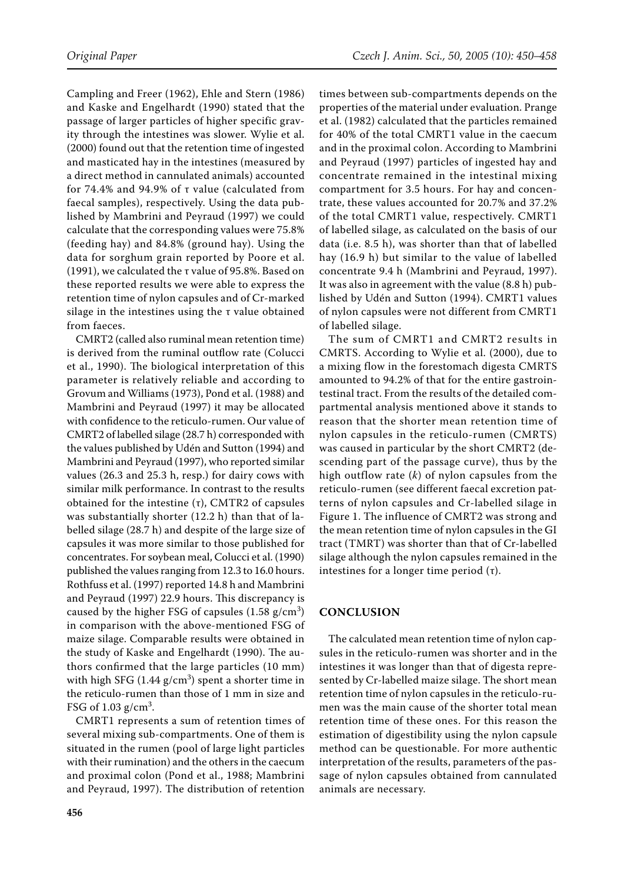Campling and Freer (1962), Ehle and Stern (1986) and Kaske and Engelhardt (1990) stated that the passage of larger particles of higher specific gravity through the intestines was slower. Wylie et al. (2000) found out that the retention time of ingested and masticated hay in the intestines (measured by a direct method in cannulated animals) accounted for 74.4% and 94.9% of τ value (calculated from faecal samples), respectively. Using the data published by Mambrini and Peyraud (1997) we could calculate that the corresponding values were 75.8% (feeding hay) and 84.8% (ground hay). Using the data for sorghum grain reported by Poore et al. (1991), we calculated the τ value of 95.8%. Based on these reported results we were able to express the retention time of nylon capsules and of Cr-marked silage in the intestines using the  $\tau$  value obtained from faeces.

CMRT2 (called also ruminal mean retention time) is derived from the ruminal outflow rate (Colucci et al., 1990). The biological interpretation of this parameter is relatively reliable and according to Grovum and Williams (1973), Pond et al. (1988) and Mambrini and Peyraud (1997) it may be allocated with confidence to the reticulo-rumen. Our value of CMRT2 of labelled silage (28.7 h) corresponded with the values published by Udén and Sutton (1994) and Mambrini and Peyraud (1997), who reported similar values (26.3 and 25.3 h, resp.) for dairy cows with similar milk performance. In contrast to the results obtained for the intestine (τ), CMTR2 of capsules was substantially shorter (12.2 h) than that of labelled silage (28.7 h) and despite of the large size of capsules it was more similar to those published for concentrates. For soybean meal, Colucci et al. (1990) published the values ranging from 12.3 to 16.0 hours. Rothfuss et al. (1997) reported 14.8 h and Mambrini and Peyraud (1997) 22.9 hours. This discrepancy is caused by the higher FSG of capsules  $(1.58 \text{ g/cm}^3)$ in comparison with the above-mentioned FSG of maize silage. Comparable results were obtained in the study of Kaske and Engelhardt (1990). The authors confirmed that the large particles (10 mm) with high SFG  $(1.44 \text{ g/cm}^3)$  spent a shorter time in the reticulo-rumen than those of 1 mm in size and FSG of  $1.03$  g/cm<sup>3</sup>.

CMRT1 represents a sum of retention times of several mixing sub-compartments. One of them is situated in the rumen (pool of large light particles with their rumination) and the others in the caecum and proximal colon (Pond et al., 1988; Mambrini and Peyraud, 1997). The distribution of retention

times between sub-compartments depends on the properties of the material under evaluation. Prange et al. (1982) calculated that the particles remained for 40% of the total CMRT1 value in the caecum and in the proximal colon. According to Mambrini and Peyraud (1997) particles of ingested hay and concentrate remained in the intestinal mixing compartment for 3.5 hours. For hay and concentrate, these values accounted for 20.7% and 37.2% of the total CMRT1 value, respectively. CMRT1 of labelled silage, as calculated on the basis of our data (i.e. 8.5 h), was shorter than that of labelled hay (16.9 h) but similar to the value of labelled concentrate 9.4 h (Mambrini and Peyraud, 1997). It was also in agreement with the value (8.8 h) published by Udén and Sutton (1994). CMRT1 values of nylon capsules were not different from CMRT1 of labelled silage.

The sum of CMRT1 and CMRT2 results in CMRTS. According to Wylie et al. (2000), due to a mixing flow in the forestomach digesta CMRTS amounted to 94.2% of that for the entire gastrointestinal tract. From the results of the detailed compartmental analysis mentioned above it stands to reason that the shorter mean retention time of nylon capsules in the reticulo-rumen (CMRTS) was caused in particular by the short CMRT2 (descending part of the passage curve), thus by the high outflow rate (*k*) of nylon capsules from the reticulo-rumen (see different faecal excretion patterns of nylon capsules and Cr-labelled silage in Figure 1. The influence of CMRT2 was strong and the mean retention time of nylon capsules in the GI tract (TMRT) was shorter than that of Cr-labelled silage although the nylon capsules remained in the intestines for a longer time period  $(τ)$ .

### **CONCLUSION**

The calculated mean retention time of nylon capsules in the reticulo-rumen was shorter and in the intestines it was longer than that of digesta represented by Cr-labelled maize silage. The short mean retention time of nylon capsules in the reticulo-rumen was the main cause of the shorter total mean retention time of these ones. For this reason the estimation of digestibility using the nylon capsule method can be questionable. For more authentic interpretation of the results, parameters of the passage of nylon capsules obtained from cannulated animals are necessary.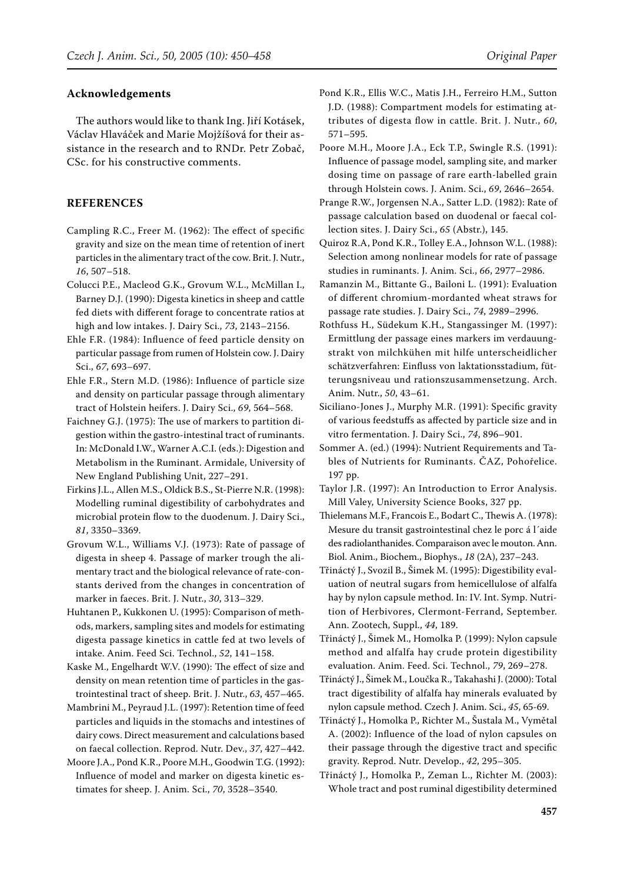#### **Acknowledgements**

The authors would like to thank Ing. Jiří Kotásek, Václav Hlaváček and Marie Mojžíšová for their assistance in the research and to RNDr. Petr Zobač, CSc. for his constructive comments.

#### **REFERENCES**

- Campling R.C., Freer M. (1962): The effect of specific gravity and size on the mean time of retention of inert particles in the alimentary tract of the cow. Brit. J. Nutr., *16*, 507–518.
- Colucci P.E., Macleod G.K., Grovum W.L., McMillan I., Barney D.J. (1990): Digesta kinetics in sheep and cattle fed diets with different forage to concentrate ratios at high and low intakes. J. Dairy Sci., *73*, 2143–2156.
- Ehle F.R. (1984): Influence of feed particle density on particular passage from rumen of Holstein cow. J. Dairy Sci., *67*, 693–697.
- Ehle F.R., Stern M.D. (1986): Influence of particle size and density on particular passage through alimentary tract of Holstein heifers. J. Dairy Sci., *69*, 564–568.
- Faichney G.J. (1975): The use of markers to partition digestion within the gastro-intestinal tract of ruminants. In: McDonald I.W., Warner A.C.I. (eds.): Digestion and Metabolism in the Ruminant. Armidale, University of New England Publishing Unit, 227–291.
- Firkins J.L., Allen M.S., Oldick B.S., St-Pierre N.R. (1998): Modelling ruminal digestibility of carbohydrates and microbial protein flow to the duodenum. J. Dairy Sci., *81*, 3350–3369.
- Grovum W.L., Williams V.J. (1973): Rate of passage of digesta in sheep 4. Passage of marker trough the alimentary tract and the biological relevance of rate-constants derived from the changes in concentration of marker in faeces. Brit. J. Nutr., *30*, 313–329.
- Huhtanen P., Kukkonen U. (1995): Comparison of methods, markers, sampling sites and models for estimating digesta passage kinetics in cattle fed at two levels of intake. Anim. Feed Sci. Technol., *52*, 141–158.

Kaske M., Engelhardt W.V. (1990): The effect of size and density on mean retention time of particles in the gastrointestinal tract of sheep. Brit. J. Nutr., *63*, 457–465.

- Mambrini M., Peyraud J.L. (1997): Retention time of feed particles and liquids in the stomachs and intestines of dairy cows. Direct measurement and calculations based on faecal collection. Reprod. Nutr. Dev., *37*, 427–442.
- Moore J.A., Pond K.R., Poore M.H., Goodwin T.G. (1992): Influence of model and marker on digesta kinetic estimates for sheep. J. Anim. Sci., *70*, 3528–3540.
- Pond K.R., Ellis W.C., Matis J.H., Ferreiro H.M., Sutton J.D. (1988): Compartment models for estimating attributes of digesta flow in cattle. Brit. J. Nutr., *60*, 571–595.
- Poore M.H., Moore J.A., Eck T.P., Swingle R.S. (1991): Influence of passage model, sampling site, and marker dosing time on passage of rare earth-labelled grain through Holstein cows. J. Anim. Sci., *69*, 2646–2654.
- Prange R.W., Jorgensen N.A., Satter L.D. (1982): Rate of passage calculation based on duodenal or faecal collection sites. J. Dairy Sci., *65* (Abstr.), 145.
- Quiroz R.A, Pond K.R., Tolley E.A., Johnson W.L. (1988): Selection among nonlinear models for rate of passage studies in ruminants. J. Anim. Sci., *66*, 2977–2986.
- Ramanzin M., Bittante G., Bailoni L. (1991): Evaluation of different chromium-mordanted wheat straws for passage rate studies. J. Dairy Sci., *74*, 2989–2996.
- Rothfuss H., Südekum K.H., Stangassinger M. (1997): Ermittlung der passage eines markers im verdauungstrakt von milchkühen mit hilfe unterscheidlicher schätzverfahren: Einfluss von laktationsstadium, fütterungsniveau und rationszusammensetzung. Arch. Anim. Nutr., *50*, 43–61.
- Siciliano-Jones J., Murphy M.R. (1991): Specific gravity of various feedstuffs as affected by particle size and in vitro fermentation. J. Dairy Sci., *74*, 896–901.
- Sommer A. (ed.) (1994): Nutrient Requirements and Tables of Nutrients for Ruminants. ČAZ, Pohořelice. 197 pp.
- Taylor J.R. (1997): An Introduction to Error Analysis. Mill Valey, University Science Books, 327 pp.
- Thielemans M.F., Francois E., Bodart C., Thewis A. (1978): Mesure du transit gastrointestinal chez le porc á l´aide des radiolanthanides. Comparaison avec le mouton. Ann. Biol. Anim., Biochem., Biophys., *18* (2A), 237–243.
- Třináctý J., Svozil B., Šimek M. (1995): Digestibility evaluation of neutral sugars from hemicellulose of alfalfa hay by nylon capsule method. In: IV. Int. Symp. Nutrition of Herbivores, Clermont-Ferrand, September. Ann. Zootech, Suppl., *44*, 189.
- Třináctý J., Šimek M., Homolka P. (1999): Nylon capsule method and alfalfa hay crude protein digestibility evaluation. Anim. Feed. Sci. Technol., *79*, 269–278.
- Třináctý J., Šimek M., Loučka R., Takahashi J. (2000): Total tract digestibility of alfalfa hay minerals evaluated by nylon capsule method. Czech J. Anim. Sci., *45*, 65-69.
- Třináctý J., Homolka P., Richter M., Šustala M., Vymětal A. (2002): Influence of the load of nylon capsules on their passage through the digestive tract and specific gravity. Reprod. Nutr. Develop., *42*, 295–305.
- Třináctý J., Homolka P., Zeman L., Richter M. (2003): Whole tract and post ruminal digestibility determined